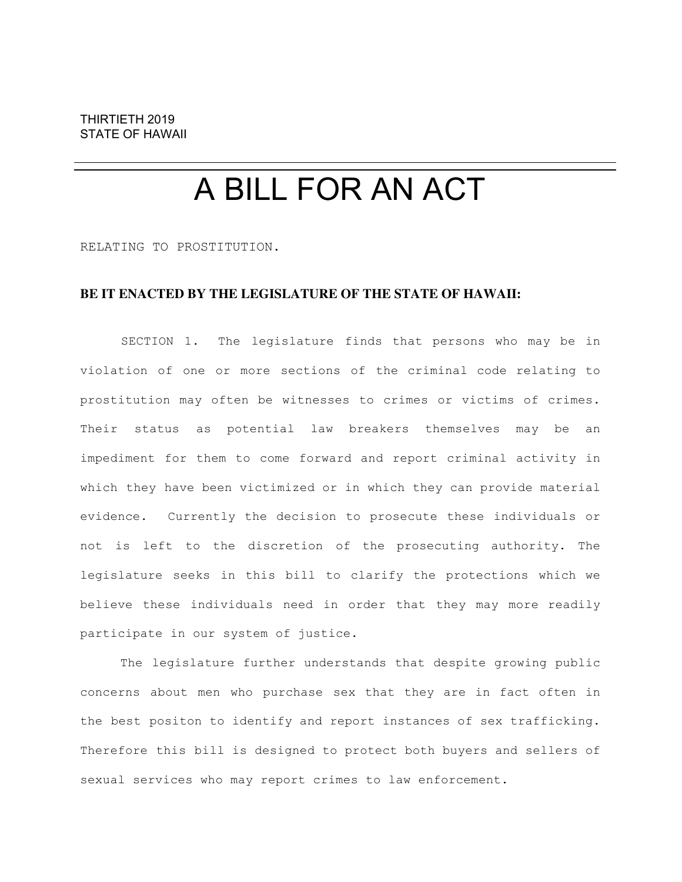## A BILL FOR AN ACT

RELATING TO PROSTITUTION.

## **BE IT ENACTED BY THE LEGISLATURE OF THE STATE OF HAWAII:**

SECTION 1. The legislature finds that persons who may be in violation of one or more sections of the criminal code relating to prostitution may often be witnesses to crimes or victims of crimes. Their status as potential law breakers themselves may be an impediment for them to come forward and report criminal activity in which they have been victimized or in which they can provide material evidence. Currently the decision to prosecute these individuals or not is left to the discretion of the prosecuting authority. The legislature seeks in this bill to clarify the protections which we believe these individuals need in order that they may more readily participate in our system of justice.

The legislature further understands that despite growing public concerns about men who purchase sex that they are in fact often in the best positon to identify and report instances of sex trafficking. Therefore this bill is designed to protect both buyers and sellers of sexual services who may report crimes to law enforcement.